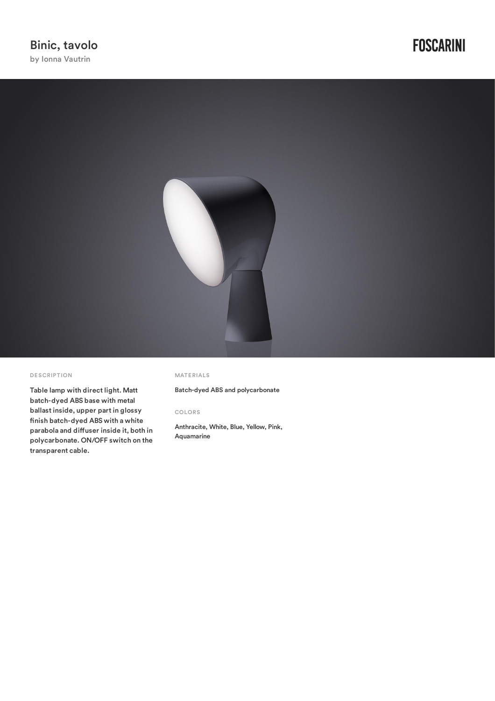

#### DE SCRIPTION

Table lamp with direct light. Matt batch-dyed ABS base with metal ballast inside, upper part in glossy finish batch-dyed ABS with a white parabola and diffuser inside it, both in polycarbonate. ON/OFF switch on the transparent cable.

#### MATERIALS

Batch-dyed ABS and polycarbonate

### COLORS

Anthracite, White, Blue, Yellow, Pink, Aquamarine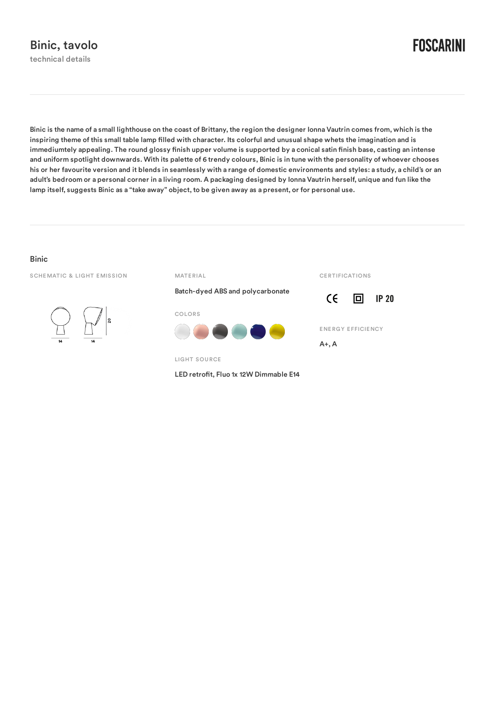**FOSCARINI** 

Binic is the name of a small lighthouse on the coast of Brittany, the region the designer Ionna Vautrin comes from, which is the inspiring theme of this small table lamp filled with character. Its colorful and unusual shape whets the imagination and is immediumtely appealing. The round glossy finish upper volume is supported by a conical satin finish base, casting an intense and uniform spotlight downwards. With its palette of 6 trendy colours, Binic is in tune with the personality of whoever chooses his or her favourite version and it blends in seamlessly with a range of domestic environments and styles: a study, a child's or an adult's bedroom or a personal corner in a living room. A packaging designed by Ionna Vautrin herself, unique and fun like the lamp itself, suggests Binic as a "take away" object, to be given away as a present, or for personal use.

## Binic

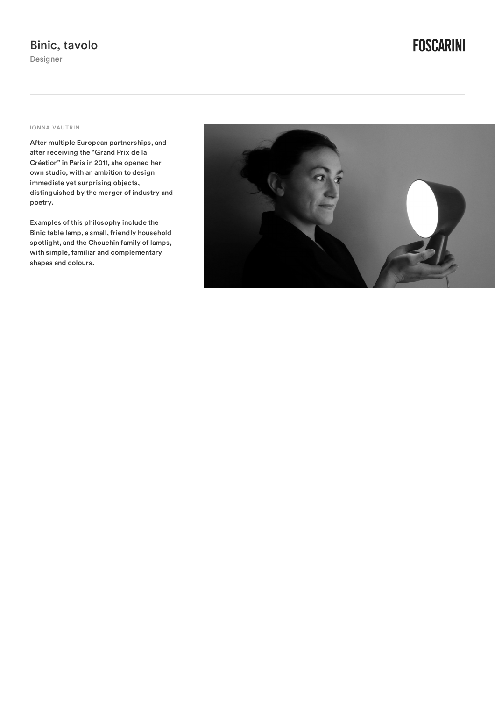**FOSCARINI** 

## IONNA VAUTRIN

After multiple European partnerships, and after receiving the "Grand Prix de la Création" in Paris in 2011, she opened her own studio, with an ambition to design immediate yet surprising objects, distinguished by the merger of industry and poetry.

Examples of this philosophy include the Binic table lamp, a small, friendly household spotlight, and the Chouchin family of lamps, with simple, familiar and complementary shapes and colours.